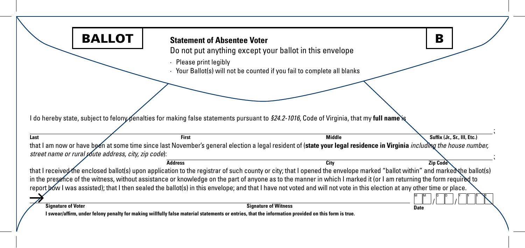| <b>BALLOT</b>                                                                                                                                           | <b>Statement of Absentee Voter</b> |                                                                                                                                                                             | B                            |
|---------------------------------------------------------------------------------------------------------------------------------------------------------|------------------------------------|-----------------------------------------------------------------------------------------------------------------------------------------------------------------------------|------------------------------|
|                                                                                                                                                         |                                    | Do not put anything except your ballot in this envelope                                                                                                                     |                              |
|                                                                                                                                                         | Please print legibly               | Your Ballot(s) will not be counted if you fail to complete all blanks                                                                                                       |                              |
|                                                                                                                                                         |                                    |                                                                                                                                                                             |                              |
|                                                                                                                                                         |                                    |                                                                                                                                                                             |                              |
|                                                                                                                                                         |                                    |                                                                                                                                                                             |                              |
|                                                                                                                                                         |                                    |                                                                                                                                                                             |                              |
| l do hereby state, subject to felony penalties for making false statements pursuant to <i>§24.2-1016,</i> Code of Virginia, that my <b>full name`is</b> |                                    |                                                                                                                                                                             |                              |
|                                                                                                                                                         |                                    |                                                                                                                                                                             |                              |
|                                                                                                                                                         |                                    |                                                                                                                                                                             |                              |
| Last                                                                                                                                                    | <b>First</b>                       | <b>Middle</b>                                                                                                                                                               | Suffix (Jr., Sr., III, Etc.) |
|                                                                                                                                                         |                                    | that I am now or have been at some time since last November's general election a legal resident of (state your legal residence in Virginia including the house number,      |                              |
| street name or rural <i>youte address</i> , city, zip code):                                                                                            |                                    |                                                                                                                                                                             |                              |
|                                                                                                                                                         | <b>Address</b>                     | City                                                                                                                                                                        | <b>Zip Code</b>              |
|                                                                                                                                                         |                                    | that I received the enclosed ballot(s) upon application to the registrar of such county or city; that I opened the envelope marked "ballot within" and marked the ballot(s) |                              |
|                                                                                                                                                         |                                    | in the presence of the witness, without assistance or knowledge on the part of anyone as to the manner in which I marked it (or I am returning the form required to         |                              |
|                                                                                                                                                         |                                    | report bow I was assisted); that I then sealed the ballot(s) in this envelope; and that I have not voted and will not vote in this election at any other time or place.     |                              |
| <b>Signature of Voter</b>                                                                                                                               |                                    | <b>Signature of Witness</b>                                                                                                                                                 | <b>Date</b>                  |